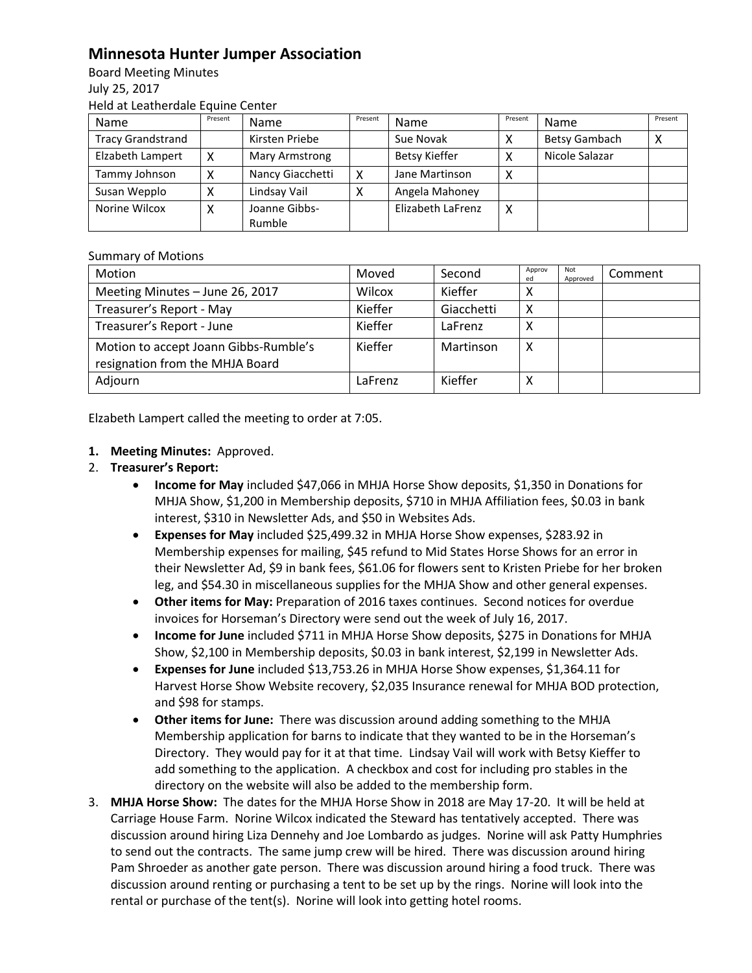## **Minnesota Hunter Jumper Association**

Board Meeting Minutes July 25, 2017 Held at Leatherdale Equine Center

| Name                     | Present | <b>Name</b>      | Present | Name                 | Present | Name                 | Present |
|--------------------------|---------|------------------|---------|----------------------|---------|----------------------|---------|
| <b>Tracy Grandstrand</b> |         | Kirsten Priebe   |         | Sue Novak            |         | <b>Betsy Gambach</b> | ⌒       |
| Elzabeth Lampert         | x       | Mary Armstrong   |         | <b>Betsy Kieffer</b> |         | Nicole Salazar       |         |
| Tammy Johnson            | χ       | Nancy Giacchetti | x       | Jane Martinson       | Χ       |                      |         |
| Susan Wepplo             |         | Lindsay Vail     |         | Angela Mahoney       |         |                      |         |
| Norine Wilcox            |         | Joanne Gibbs-    |         | Elizabeth LaFrenz    | Χ       |                      |         |
|                          |         | Rumble           |         |                      |         |                      |         |

## Summary of Motions

| Motion                                                                   | Moved   | Second     | Approv<br>ed | Not<br>Approved | Comment |
|--------------------------------------------------------------------------|---------|------------|--------------|-----------------|---------|
| Meeting Minutes - June 26, 2017                                          | Wilcox  | Kieffer    | ́            |                 |         |
| Treasurer's Report - May                                                 | Kieffer | Giacchetti | х            |                 |         |
| Treasurer's Report - June                                                | Kieffer | LaFrenz    | x            |                 |         |
| Motion to accept Joann Gibbs-Rumble's<br>resignation from the MHJA Board | Kieffer | Martinson  | Χ            |                 |         |
| Adjourn                                                                  | LaFrenz | Kieffer    | х            |                 |         |

Elzabeth Lampert called the meeting to order at 7:05.

## **1. Meeting Minutes:** Approved.

- 2. **Treasurer's Report:** 
	- **Income for May** included \$47,066 in MHJA Horse Show deposits, \$1,350 in Donations for MHJA Show, \$1,200 in Membership deposits, \$710 in MHJA Affiliation fees, \$0.03 in bank interest, \$310 in Newsletter Ads, and \$50 in Websites Ads.
	- **Expenses for May** included \$25,499.32 in MHJA Horse Show expenses, \$283.92 in Membership expenses for mailing, \$45 refund to Mid States Horse Shows for an error in their Newsletter Ad, \$9 in bank fees, \$61.06 for flowers sent to Kristen Priebe for her broken leg, and \$54.30 in miscellaneous supplies for the MHJA Show and other general expenses.
	- **Other items for May:** Preparation of 2016 taxes continues. Second notices for overdue invoices for Horseman's Directory were send out the week of July 16, 2017.
	- **Income for June** included \$711 in MHJA Horse Show deposits, \$275 in Donations for MHJA Show, \$2,100 in Membership deposits, \$0.03 in bank interest, \$2,199 in Newsletter Ads.
	- **Expenses for June** included \$13,753.26 in MHJA Horse Show expenses, \$1,364.11 for Harvest Horse Show Website recovery, \$2,035 Insurance renewal for MHJA BOD protection, and \$98 for stamps.
	- **Other items for June:** There was discussion around adding something to the MHJA Membership application for barns to indicate that they wanted to be in the Horseman's Directory. They would pay for it at that time. Lindsay Vail will work with Betsy Kieffer to add something to the application. A checkbox and cost for including pro stables in the directory on the website will also be added to the membership form.
- 3. **MHJA Horse Show:** The dates for the MHJA Horse Show in 2018 are May 17-20. It will be held at Carriage House Farm. Norine Wilcox indicated the Steward has tentatively accepted. There was discussion around hiring Liza Dennehy and Joe Lombardo as judges. Norine will ask Patty Humphries to send out the contracts. The same jump crew will be hired. There was discussion around hiring Pam Shroeder as another gate person. There was discussion around hiring a food truck. There was discussion around renting or purchasing a tent to be set up by the rings. Norine will look into the rental or purchase of the tent(s). Norine will look into getting hotel rooms.